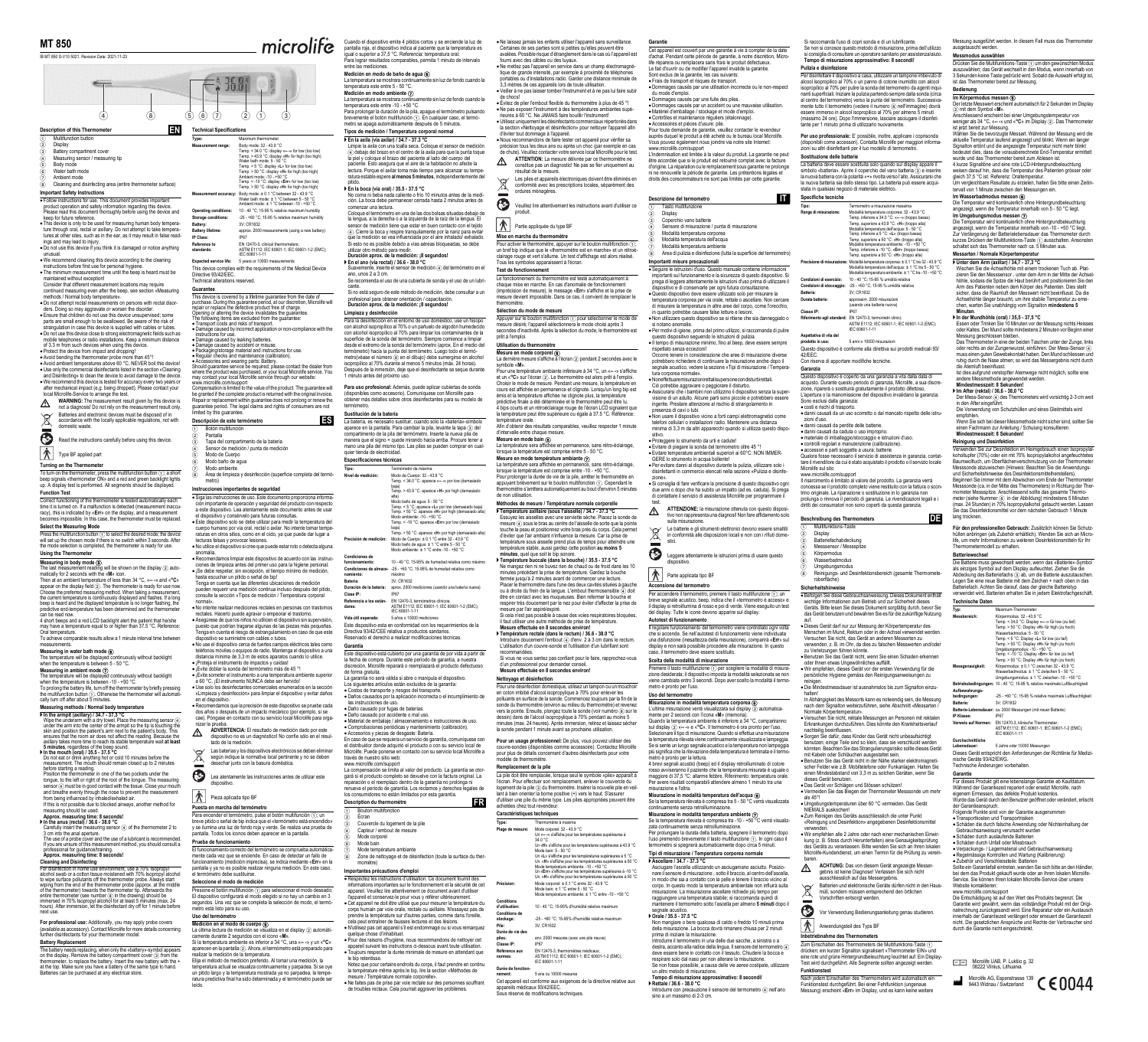# Revision Date: 2021-11-23

**Description of this Thermometer** 

① Multifunction button<br>② Battery compartment cover<br>④ Measuring sensor / measuring tip<br>⑤ Body mode<br>⑥ Water bath mode

Follow instructions for use. This document provides important product operation and safety information regarding this device. Please read this document thoroughly before using the device and

keep for future reference. This device is only to be used for measuring human body tempera-ture through oral, rectal or axillary. Do not attempt to take tempera-

tures at other sites, such as in the ear, as it may result in false readings and may lead to injury.<br>• Do not use this device if you think it is damaged or notice anything

• Do not use this device if you think it is damaged or notice anything<br>unusual.<br>
• We recommend cleaning this device according to the cleaning<br>
instructions before first use for personal hygiene.<br>
• The minimum measurement

• Do not use this device close to strong electromagnetic fields such as<br>mobile telephones or radio installations. Keep a minimum distance<br>of 3.3 m from such devices when using this device.<br>• Protect the device from impact

• Avoid bending the thermometer probe more than  $45^{\circ}$ !<br>• Avoid ambient temperatures above 60 °C. NEVER boil this device!<br>• Use only the commercial disinfectants listed in the section «Cleaning<br>and Disinfecting» to clea

local Microlife-Service to arrange the test.<br> **A** WARNING: The measurement result given by this device is  $\wedge$  **WARNING:** The measurement result given by this device is not a diagnosis! Do not rely on the measurement result only.  $\mathbb{X}$ Batteries and electronic devices must be disposed of in accordance with the locally applicable regulations, not with domestic waste.

To turn on the thermometer, press the multifunction button ①; a short<br>beep signals «thermometer ON» and a red and green backlight lights<br>up. A display test is performed. All segments should be displayed. **Function Test**

Read the instructions carefully before using this device.

Type BF applied part

**Turning on the Thermometer**

before starting a reading. Position the thermometer in one of the two pockets under the tongue, to the left or right of the root of the tongue. The measuring<br>sensor ④ must be in good contact with the tissue. Close your mouth<br>and breathe evenly through the nose to prevent the measurement

from being influenced by inhaled/exhaled air.<br>If this is not possible due to blocked airways, another method for<br>measuring should be used.<br>Approx. measuring time: 8 seconds!<br> **A** In the anus (rectal) / 36.6 - 38.0 °C

Carefully insert the measuring sensor ④ of the thermometer 2 to<br>3 cm into the anal aperture.<br>The use of a probe cover and the use of a lubricant is recommended.<br>If you are unsure of this measurement method, you should cons

Correct functioning of the thermometer is tested automatically each time it is turned on. If a malfunction is detected (measurement inaccu-racy), this is indicated by «**Err**» on the display, and a measurement mes impossible. In this case, the thermometer must be replaced **Select the Measuring Mode**

# Press the multifunction button ① to select the desired mode; the device<br>will set up the chosen mode if there is no switch within 3 seconds. After<br>the mode selection is completed, the thermometer is ready for use.

**Cleaning and Disinfecting** For disinfection in home use environment, use a 70% Isopropyl alcohol swab or a cotton tissue moistened with 70% Isopropyl alcohol<br>to wipe surface pollutants of the thermometer probe. Always start<br>wiping from the end of the thermometer probe (approx. at the middle<br>of the thermometer)

**Using the Thermometer**

**Measuring in body mode**  $\textcircled{6}$ <br>The last measurement reading will be shown on the display  $\textcircled{2}$  auto-The last measurement reading will be shown on the display  $\textcircled{2}$  auto-<br>Then at an ambient temperature of less

**For professional use:** Additionally, you may apply probe covers<br>(available as accessory). Contact Microlife for more details concerning<br>further disinfectants for your thermometer model. **Battery Replacement**

The battery needs replacing, when only the «battery»-symbol appears<br>on the display. Remove the battery compartment cover ③ from the<br>thermometer, to replace the battery. Insert the new battery with the + at the top. Make sure you have a battery of the same type to hand. Batteries can be purchased at any electrical store.

**EN Technical Specifications Type: Maximum thermometer**<br>M**easurement range:** Body mode: 32 -43.9 °C<br>Temp. < 34.0 °C: display «**--** » for low (too low)<br>Temp. > 43.9 °C: display «**H»** for high (too high) Water bath mode: 5 - 50 °C<br>Temp. < 5 °C: display «L» for low (too low)<br>Temp. > 50 °C: display «H» for high (too high)<br>Ambient mode: -10 - +50 °C<br>Temp. < -10 °C: display «H» for high (too low)<br>Temp. > 50 °C: display «H» for Measurement accuracy: Body mode: ± 0.1 °C between 32 - 43.9 °C<br>Water bath mode: ± 1 °C between 5 - 50 °C<br>Ambient mode: ± 1 °C between -10 - +50 °C<br>Operating conditions: 10 - 40 °C; 15-95 % relative maximum humidity

 $(5)$   $(6)$   $(7)$   $(2)$   $(1)$ 

 $6.368$ 

**Important Safety Instructions** 7 Ambient mode 8 Cleaning and disinfecting area (entire thermometer surface)

can be read now. 4 short beeps and a red LCD backlight alert the patient that he/she may have a temperature equal to or higher than 37.5 °C. Reference: Oral temperature.

Oral temperature.<br>To achieve comparable results allow a 1 minute interval time between

measurements. **Measuring in water bath mode** 6

The temperature will be displayed continuously without backlight when the temperature is between 5 - 50 °C.

**Measuring in ambient mode**  $Q$ <br>The temperature will be displayed continuously without backlight<br>twhen the temperature is between -10 - +50 °C.<br>To prolong the battery life, turn off the thermometer by briefly pressing<br>the

- Siga las instrucciones de uso. Este documento proporciona informa-ción importante de operación y seguridad del producto con respecto a este dispositivo. Lea atentamente este documento antes de usar
- el dispositivo y consérvelo para futuras consultas.<br>● Este dispositivo solo se debe utilizar para medir la temperatura del<br>cuerpo humano por vía oral, rectal o axilar. No intente tomar tempe-<br>raturas en otros sitios, como
- 
- anomalía.<br>
e Recomendamos limpiar este dispositivo de acuerdo con las instruc-<br>
eiones de limpieza antes del primer uso para la higiene personal.<br>
e ¡Se debe respetar, sin excepción, el tiempo mínimo de medición,<br>
hasta es
- 

# **Measuring methods / Normal body temperature**

If the armptit (axillary) / 34.7 - 37.3 °C<br>Wing the underarm with a dry towel. Place the measuring sensor  $\overline{A}$ <br>under the arm into the center of the armpti so the tip is touching the<br>skin and position the patient's arm

axillary takes more time to reach its stable temperature wait at least<br>5 minutes, regardless of the beep stable.<br>**Finite mouth (oral)** / 35.5 - 37.5 °C<br>D not eat or drink anything hot or cold 10 minutes before the<br>measurem

normal». No intente realizar mediciones rectales en personas con trastornos rectales. Hacerlo puede agravar o empeorar el trastorno.<br>• Asegúrese de que los niños no utilicen el dispositivo sin supervisión,<br>puesto que podrían tragarse algunas de las piezas más pequeñas.<br>Tenga en cuenta el riesgo de

- 
- 

# • No use el dispositivo cerca de fuertes campos eléctricos tales como<br>teléfonos móviles o equipos de radio. Mantenga el dispositivo a una<br>distancia mínima de 3,3 m de estos aparatos cuando lo utilice.<br>• ¡Proteja el instru

 Recomendamos que la precisión de este dispositivo se pruebe cada dos años o después de un impacto mecánico (por ejemplo, si se aos anos o después de un impacto mecanico (por ejemplo, si se<br>cae). Póngase en contacto con su servicio local Microlife para orga nizar la p

- $\wedge$  **ADVERTENCIA:** El resultado de medición dado por este dispositivo no es un diagnóstico! No confíe sólo en el resul-tado de la medición.
- Á Las baterías y los dispositivos electrónicos se deben eliminar según indique la normativa local pertinente y no se deben desechar junto con la basura doméstica.
- Lea atentamente las instrucciones antes de utilizar este
- dispositivo.
- Pieza aplicada tipo BF

Presione el botón multifunción ⊕ para seleccionar el modo deseado;<br>El dispositivo configurará el modo elegido si no hay un cambio en 3<br>segundos. Una vez que se completa la selección de modo, el termómetro está listo para su uso.

**Storage conditions:** Storage conditions: -25 - +60 °C; 15-95 % relative maximum hur<br>-25 - +60 °C; 15-95 % relative maximum hur<br>3V: CR1632 Battery:<br>Batterv lifetime: **Battery lifetime:** approx. 2000 measurements (using a new battery) **IP Class:** IP67 **Reference to** 

**standards:** EN 12470-3, clinical thermometers; ASTM E1112; IEC 60601-1; IEC 60601-1-2 (EMC); IEC 60601-1-11 **Expected service life:** 5 years or 10000 me

- ① Botón multifunción<br>② Pantalla<br>③ Tapa del compartimento de la batería
- 
- 4 Sensor de medición / punta de medición 5 Modo de Cuerpo 6 Modo baño de agua
- 
- 

This device complies with the requirements of the Medical Device Directive 93/42/EEC. Technical alterations reserved.

temperatura este entre 5 - 50 °C.<br>Medición en modo ambiente ⊘<br>La temperatura se mostrara continuamente sin luz de fondo cuando la<br>temperatura este entre -10 - +50 °C.<br>Para prolongra la duración de la pila, apague el termó metro se apaga automáticamente después de 5 minutos.

# **Guarantee**

This device is covered by a lifetime guarantee from the date of<br>purchase. During this guarantee period, at our discretion, Microlife will<br>purchase. During this guarantee period, at our discretion, Microlife will<br>Chening or

**▶ En el ano (vía rectal) / 36.6 - 38.0 °C**<br>Suavemente, inserte el sensor de medición ④ del termómetro en el<br>ano, unos 2 a 3 cm. ان د د م په دې ...<br>Se sonda y el uso de una cubierta de sonda y el uso de un lubricante. Si no está seguro de este método de medición, debe consultar a un

Para la desinfección en el entorno de uso doméstico, use un hisopo<br>con alcohol isopropilico al 70% o un pañuelo de algodón humedecido<br>con alcohol isopropilico al 70% para limpiar los contaminantes de la<br>superficie de la so

**Para uso profesional:** Además, puede aplicar cubiertas de sonda<br>(disponibles como accesorio). Comuníquese con Microlife para<br>obtener más detalles sobre otros desinfectantes para su modelo de<br>termómetro.

guarantee period. The legal claims and rights of consumers are not limited by this guarantee.

# **Descripción de este termómetro**

# **Instrucciones importantes de seguridad**

La compensación se limita al valor del producto. La garantía se otorgará si el producto completo se devuelve con la factura original. La<br>reparación o el reemplazo dentro de la garantía no prolonga ni<br>renueva el período de garantía. Los reclamos y derechos legales de<br>los consumidores no est

**Puesta en marcha del termómetro**

Para encender el termómetro, pulse el botón multifunción ⊕; un<br>breve pitido o señal de bip indica que el «termómetro está encendido»<br>y se ilumina una luz de fondo roja y verde. Se realiza una prueba de<br>pantalla. Todos los

**Prueba de funcionamiento**<br>El funcionamiento correcto del termómetro se os El funcionamiento correcto del termómetro se comprueba automática-<br>mente cada vez que se enciende. En caso de detectar un fallo de<br>funcionamiento (medición imprecisa), se indica mediante «Err» en la<br>pantalla y ya no es pos

Le fonctionnement du thermomètre est testé automatiquement à chaque mise en marche. En cas d'anomalie de fonctionnement<br>(imprécision de mesure), le message «**Err**» s'affiche et la prise de<br>mesure devient impossible. Dans ce cas, il convient de remplacer le

## **Seleccione el modo de medición**

Appuyer sur le bouton multifonction  $\widehat{1}$  pour sélectionner le mode de mesure désiré; l'appareil sélectionnera le mode choisi après 3 secondes d'inactivité. Après la sélection du mode, le thermomètre est

**Mesure en mode corporel ⑥**<br>La dernière mesure s'affiche à l'écran ② pendant 2 secondes avec le

symbole «M».<br>Pour une température ambiante inférieure à 34 °C, un «--» s'affiche<br>et un «°C» sur l'écran ②. Le thermomètre est alors prêt à l'emploi.<br>Choisir le mode de mesure. Pendant une mesure, la température en<br>cours es

emperature oraie.<br>Afin d'obtenir des résultats comparables, veuillez respecter 1 minute

d'intervalle entre chaque mesure.<br>Mesure en mode bain ⑥<br>La température sera affichée en permanence, sans rétro-éclairage,<br>La température sera affichée en permanence, sans rétro-éclairage,<br>Mesure en mode température ambiant

vecondes din<br>prêt à l'emplo **Utilisation du thermomètre**

empérature orale.

# **Uso del termómetro**

**Medición en el modo de cuerpo**  $\circled{S}$ <br>La última lectura de medición se visualiza en el display  $\oslash$  automáticamente durante 2 segundos con el icono «**M**».<br>Si la temperatura ambiente es inferior a 34 °C, una «--» y un

alizar la medición de la temperatur

Elija el método de medición preferido. Al tomar una medición, la<br>temperatura actual se visualiza continuamente y parpadea. Si se oye<br>un pitido largo y la temperatura mostrada ya no parpadea, la tempe-<br>ratura predictiva fin

Cuando el dispositivo emite 4 pitidos cortos y se enciende la luz de<br>pantalla roja, el dispositivo indica al paciente que la temperatura es<br>igual o superior a 37,5 °C. Referencia: temperatura oral.<br>Para lograr resultados c

**Medición en modo de baño de agua <b>⑧**<br>La temperatura se mostrara continuamente sin luz de fondo cuando la

• Ne laissez jamais les enfants utiliers l'appareil sans surventilance.<br>Certaines de ses parties sont si petites qu'elles peuvent être<br>avalées. Possible risque d'étranglement dans le cas où l'appareil est<br>fourni avec des c

minutes (max. 24 heures). Après immersion, retirez et laissez séche a sonde pendant 1 minute avant sa prochaine utilisation. **Pour un usage professionnel:** De plus, vous pouvez utiliser des couvre-sondes (disponibles comme accessoire). Contactez Microlife pour plus de détails concernant d'autres désinfectants pour votre

La pile doit être remplacée, lorsque seul le symbole «pile» apparaît à<br>l'écran. Pour effectuer son remplacement, enlever le couvercle du<br>logement de la pile ③ du thermomètre. Insérer la nouvelle pile en veil-<br>lant à bien o

Un «Err» s'affiche pour les températures supérieures à -10 °C<br>Un. «H» s'affiche pour les températures supérieures à 50 °C<br>Mode corporei: ± 0.1 °C entre 32 -43.9 °C<br>Mode bain: ± 1 °C entre 5 - 50 °C

dèle de thermomètre. **Remplacement de la pile**

7 Modo ambiente 8 Área de limpieza y desinfección (superficie completa del termó-metro)

**ES**

achetées chez tout revendeu **Caractéristiques techniques**

.<br>Classe IP: **Référence aux normes:**

Durée de fon

**Tipos de medición / Temperatura corporal normal**

Pour toute demande de garantie, veuillez contacter le revendeur<br>auprès duquel le produit a été acheté ou le bureau local Microlife.<br>Vous pouvez également nous joindre via notre site Internet:<br>www.microlife.com/support<br>L'in être accordée que si le produit est retourné complet avec la facture d'origine. La réparation ou le remplacement sous garantie ne prolonge ni ne renouvelle la période de garantie. Les prétentions légales et droits des consommateurs ne sont pas limités par cette garantie.

**Duración aprox. de la medición: ¡8 segundos!**

profesional para obtener orientación / capacitación. **Duración aprox. de la medición: ¡8 segundos!**

**Limpieza y desinfección**

test.  $\Delta$ 

 $\mathbb{X}$ 

Parte applicata tipo BF **Accensione del termometro**

Il regolare funzionamento del termometro viene controllato ogni volta che si accende. Se nell'autotest di funzionamento viene individuata<br>una distiunzione (inesattezza della misurazione), comparirà «Err» sul<br>display e non sarà possibile procedere alla misurazione. In questo<br>caso, il termomet

Premere il tasto multifunzione (1) per scegliere la modalità di misura-<br>zione desiderata; il dispositivo imposta la modalità selezionata se non viene cambiata entro 3 secondi. Dopo aver scelto la modalità il termo-metro è pronto per l'uso.

**Misurazione in modalità temperatura corporea**  $\circled{C}$ <br>L'ultima misurazione vera visualizzata sul display  $\circled{2}$  automatica-<br>emente per 2 secondi con l'iocna «Mb (memoria).<br>Quando la temperatura ambiente è inferiore a

rosso avviseranno il paziente che la temperatura misurata è uguale o maggiore di 37,5 °C: allarme febbre. Riferimento: temperatura orale.<br>Per avere risultati comparabili attendere almeno 1 minuto tra una misurazione e l'a

**Misurazione in modalità temperatura ambiente**  $\overline{O}$ <br>Se la temperatura rilevata è compresa tra -10 - +50 °C verrà visualizzata continuamente senza retroilluminazione.<br>Per prolungare la durata della batteria, spegnere i

▶ Ascellare / 34.7 - 37.3 °C (and a sciugamano asciutto. Posizio-<br>Asciugare l'ascella utilizzando un asciugamano asciutto .Posizio-<br>nare il sensore di misurazione .. sotto il braccio, al centro dell'ascella,<br>in modo che s

**Sustitución de la batería**

La batería, es necesario sustituir, cuando sólo la «batería»-símbolo aparece en la pantalla. Para cambiar la pila, levante la tapa 3 del compartimento de la pila del termómetro. Inserte la nueva pila de manera que el signo + quede mirando hacia arriba. Procure tener a mano una pila del mismo tipo. Las pilas se pueden comprar en cual-quier tienda de electricidad.

**Especificaciones técnicas**

Este dispositivo esta en conformidad con los requerimientos de la Directiva 93/42/CEE relativa a productos sanitarios. Reservado el derecho a realizar modificaciones técnicas.

**Garantía**

Este dispositivo está cubierto por una garantía de por vida a partir de la fecha de compra. Durante este período de garantía, a nuestra discreción, Microlife reparará o reemplazará el producto defectuoso de forma gratuita. La garantía no será válida si abre o manipula el dispositivo. Los siguientes artículos están excluidos de la garantía:

Costos de transporte y riesgos del transporte. Daños causados por la aplicación incorrecta o el incumplimiento de

las instrucciones de uso.<br>● Daño causado por dugas de baterías.<br>● Daño causado por accidente o mal uso.<br>● Material de embalaje / almacenamiento e instrucciones de uso.<br>● Comprobaciones periódicas y mantenimiento (calibrac

ے<br>Non mangiare of caldo o freddo 10 minuti prim della misurazione. La bocca dovrà rimanere chiusa per 2 minuti

**Tempo di misurazione approssimativo: 8 secondi! Rettale / 36.6 - 38.0 °C** Introdurre con precauzione il sensore del termometro 4 nell'ano sino a un massimo di 2-3 cm.

destra, accanto alla radice della lingua. Il sensore del termometro 40 deve essere bene in contatto con il tessuto. Chiudere la bocca e<br>respirare solo dal naso per non alterare la misurazione.<br>Se non fosse possibile, a cau

1 Tasto multifunzione Display<br>Coperchio vano batterie Si raccomanda l'uso di copri sonda e di un lubrificante. Se non si conosce questo metodo di misurazione, prima dell'utilizzo<br>si consiglia di consultare un operatore sanitario per assistenza/aiuto.<br>**Tempo di misurazione approssimativo: 8 secondi!** 

Per disinfettare il dispositivo a casa, utilizzare un tampone imbevuto di<br>alcool isopropilico al 70% o un panno di cotone inumidito con alcool<br>isopropilico al 70% o per pulire la sonda del termometro da agenti inqui-<br>nanti

**Per uso professionale:** E' possibile, inoltre, applicare i coprisonda<br>(disponibili come accessori). Contatta Microlife per maggiori informa·<br>zioni su altri disinfettanti per il tuo modello di termometro.

**Description du thermomètre** 

**Importantes précautions d'emploi**

# pitido.<br>▶ En la boca (vía oral) / 35.5 - 37.5 °C<br>No coma ni beba nada caliente o frío 10 minutos antes de la medi-<br>ción. La boca debe permanecer cerrada hasta 2 minutos antes de<br>comenzar una lectura.

 Respectez les instructions d'utilisation. Ce document fournit des informations importantes sur le fonctionnement et la sécurité de cet appareil. Veuillez lire attentivement ce document avant d'utiliser Questo dispositivo è conforme alla direttiva sui prodotti medicali 93/<br>42/EEC 42/EEC. Con riserva di apportare modifiche tecniche.

Questo dispositivo è coperto da una garanzia a vita dalla data di<br>acquisto. Durante questo periodo di garanzia, Microlife, a sua discre-<br>zione, riparerà o sostituirà gratuitamente il prodotto difettoso.<br>L'apertura o la man

tare il rivenditore da cui è stato acquistato il prodotto o il servizio locale<br>Microlife sul sito<br>www.microlife.com/support<br>Il risarcimento è limitato al valore del prodotto. La garanzia verrà<br>concessa se il prodotto compl prolunga o rinnova il periodo di garanzia. Le rivendicazioni legali e i diritti dei consumatori non sono coperti da questa garanzia.

**Tipo:** Termómetro de máxima **Nivel de medición:** Modo de Cuerpo: 32 - 43.9 °C Temp. < 34.0 °C: aparece «**-- -**» por low (demasiado

baja) Temp. > 43.9 °C: aparece «**H**» por high (demasiado

alta)<br>Temp. < 5 °C: aparece «L» por low (demasiado baja)<br>Temp. < 5 °C: aparece «L» por low (demasiado alta)<br>Modo ambiente: -10 → 50 °C<br>Modo ambiente: -10 → 50 °C<br>Temp. < -10 °C: aparece «Err» por low (demasiado alta)<br>Temp

**Precisión de medición:** Modo de Cuerpo: ± 0.1 °C entre 32 - 43.9 °C Modo baño de agua: ± 1 °C entre 5 - 50 °C Modo ambiente: ± 1 °C entre -10 - +50 °C

**Condiciones de** 

NIEMALS auskochen! Zum Reinigen des Geräts ausschliesslich die unter Punkt «Reinigung und Desinfektion» angegebenen Des

verwenden.<br>• Wir empfehlen alle 2 Jahre oder nach einer mechanischen Einwir-<br>kung (z. B. Stoss durch Herunterfallen) eine Genauigkeitsprüfung<br>des Geräts zu veranlassen. Bitte wenden Sie sich an Ihren lokalen<br>Microlife-Kund

**funcionamiento:** 10 - 40 °C; 15-95% de humedad relativa como máximo

**namiento:**

**Condiciones de almace-**-25 - +60 °C; 15-95% de humedad relativa como

máximo **Batería:** 3V; CR1632

baren.  $\wedge$ 

**Duración de la batería:** aprox. 2000 mediciones (usando una batería nueva) **Clase IP:** IP67 **Referencia a los están-dares:** EN 12470-3, termómetros clínicos; ASTM E1112; IEC 60601-1; IEC 60601-1-2 (EMC); IEC 60601-1-11

> müll, sondern müssen entsprechend den örtlichen Vorschriften entsorgt werden. Vorschmuen entsorgt werden.<br>Vor Verwendung Bedienungsanleitung genau studieren.

Anwendungsteil des Typs BF

**Vida útil esperada:** 5 años o 10000 mediciones

 $\blacktriangleright$  En la axila (vía axilar) / 34.7 - 37.3 °C<br>Limpie la axila con una toalla seca. Coloque el sensor de medición<br>(a) debajo del brazo en el centro de la axila para que la punta toque<br>la piel y coloque el brazo del pac pacionto: Eoto accesara que el arre de la hactacienta alcanzar su tempe ratura estable espere al menos 5 minutos, independiente

Coloque el termómetro en una de las dos bolsas situadas debajo de<br>la lengua, a la derecha o a la izquierda de la raíz de la lengua. El<br>sensor de medición tiene que estar en buen contacto con el tejido<br> $\circled A$ . Cierre la boc

1 Bouton multifonction 2 Écran 3 Couvercle du logement de la pile 4 Capteur / embout de mesure

Zum Einschalten des Thermometers die Multifunktions-Taste  $\sigma$ drücken; ein kurzer Signalton signalisiert «Thermometer EIN» und eine rote und grüne Hintergrundbeleuchtung leuchtet auf. Ein Display-Test wird durchgeführt. Alle Segmente sollten angezeigt werden.

5 Mode corporel 6 Mode bain

7 Mode température ambiante 8 Zone de nettoyage et de désinfection (toute la surface du ther-momètre)

l'appareil et conservez-le pour vous y référer ultérieurement.<br>• Cet appareil ne doit être utilisé que pour mesurer la température du<br>pors humain par voie orale, rectale ou axillaire. N'essayez pas de<br>prendre la températur

• N'utilisez pas cet appareil s'il est endommagé ou si vous remarquez<br>quelque chose d'inhabituel.<br>• Pour des raisons d'hygiène, nous recommandons de nettoyer cet<br>appareil suivant les instructions ci-dessous avant toute uti

<sub>le pip retenusse.</sub><br>Notez que pour certains endroits du corps, il faut prendre en continu la température même après le bip, lire la section «Méthodes de<br>mesure / Température normale corporelle».<br>●Ne faites pas de prise par voie rectale sur des personnes souffrant<br>de troubles rectaux. Cela pourrait aggraver les

Nach jedem Einschalten des Thermometers wird autom<br>Funktionstest durchgeführt. Bei einer Fehlfunktion (unge Funktionstest durchgeführt. Bei einer Fehlfunktion (ungenaue Messung) erscheint «**Err**» im Display, und es kann keine weitere

**FR**

Tipo:<br>
Temmentro a misurazione massima-<br>
Mange di misurazione: Modalità temperatura corpora: 32 - 43.9 °C<br>
Temp. inferiore a 34.9 °C: «--» (troppo blassa)<br>
Temp. superiore a 43.9 °C: «L» (troppo blassa)<br>
Modalità temperatu Of Precisione di misurazione: Modalità temperatura corporea: ± 0.1 °C tra 32 - 43.9<br>Modalità temperatura dell'acqua: ± 1 °C tra 5 - 50 °C<br>Modalità temperatura ambiente: ± 1 °C tra -10 - +50 °C **Condizioni di esercizio:** 10 - 40 °C; 15-95 % umidità relativa **Condizioni di stoccaggio:** -25 - +60 °C; 15-95 % umidità relativa

Veiller à ne pas laisser tomber l'instrument et à ne pas lui faire subir

de chocs!<br>  $\bullet$  Civitz de plier l'embout flexible du thermomètre à plus de 45 °!<br>  $\bullet$  Vietz de plier l'embout flexible du thermomètre à plus de 45 °!<br>  $\bullet$  Ve pas exposer l'instrument à des températures ambiantes supérat

Les piles et appareils électroniques doivent être éliminés en conformité avec les prescriptions locales, séparément des ordures ménagères. Veuillez lire attentivement les instructions avant d'utiliser ce

Pour activer le thermomètre, appuyer sur le bouton multifonction ①;<br>un bref bip indique que le «thermomètre est en marche» et un rétroé-<br>clairage rouge et vert s'allume. Un test d'affichage est alors réalisé.<br>Tous les symb

produit. ● Partie appliquée du type BF **Mise en marche du thermomètre**

 $\mathbb{\widetilde{R}}^{\prime}$  $\bar{\pmb{\Phi}}$ 

**Test de fonctionnement**

thermomètre.

**Sélection du mode de mesure**

Der Mess-Sensor 4 des Thermometers wird vorsichtig 2-3 cm weit in den After eingeführt. Die Verwendung von Schutzhüllen und eines Gleitmittels wird

Verwenden Sie zur Desinfektion im Heimgebrauch einen Isopropylal-<br>koholtupfer (70%) oder ein mit 70% Isopropylalkohol angefeuchtetes<br>Baumwolltuch, um Oberflächenverschmutzung von der Thermometer<br>Messsonde abzuwischen (Hinw Beginnen Sie immer mit dem Abwischen vom Ende der The Messsonde (ca. in der Mitte des Thermometers) in Richtung der Thermometer Messspitze. Anschliessend sollte das gesamte Thermo-<br>meter (siehe Nummer ⑧ in der Abbildung) mindestens 5 Minuten<br>(max. 24 Stunden) in 70% lsopropyl lang trocknen.

**Für den professionellen Gebrauch:** Zusätzlich können Sie Schutz:<br>hüllen anbringen (als Zubehör erhältlich). Wenden Sie sich an Micro-<br>lifle, um mehr Informationen zu weiteren Desinfektionsmitteln für Ihr<br>Thermometermodell

● Verpackungs - / Lagermaterial und Gebrauchsanweisung<br>● Regelmässige Kontrollen und Wartung (Kalibrierung)<br>● Zubehör und Verschleissteile: Batterien<br>Sollte ein Garantiefall eintreten, wenden Sie sich bitte an den Händler Website kontaktieren:

www.microlife.com/support Die Entschädigung ist auf den Wert des Produkts begrenzt. Die Garantie wird gewährt, wenn das vollständige Produkt mit der Origi-<br>nalrechnung zurückgesandt wird. Eine Reparatur oder ein Austausch<br>innerhalb der Garantiezeit verlängert oder erneuert die Garantiezeit<br>inicht. Die gesetzl durch die Garantie nicht eingeschränkt.

**EC REP** Microlife UAB, P. Lukšio g. 32<br>
08222 Vilnius, Lithuania

de non utilisation.

**Méthodes de mesure / Température normale corporelle**

mètre s'arrêtera automatiquement au bout d'environ 5 minutes

**Fempérature axillaire (sous l'aisselle) / 34.7 - 37.3 °C**<br>Essuyez les aisselles avec une serviette sèche. Placez la sonde de<br>mesure  $\overline{(4)}$  sous le bras au centre de l'aisselle de sorte que la pointe<br>touche la peau et p

température stable, aussi gardez cette position au moins 5<br>minutes, quel que soit le bip sonore.<br> **Funpérature buccale (dans la bouche)** / 35.5 - 37.5 °C<br>
Ne mangez rien ni ne buvez rien de chaud ou de froid dans les 10<br>m

Placer le thermomètre dans l'une des deux cavités situées à gauch

ou à droite du frein de la langue. L'embout thermosensible ④ doit<br>être en contact avec les muqueuses. Bien refermer la bouche et<br>respirer très doucement par le nez pour éviter d'affecter la prise de<br>mesure par l'air aspiré

il faut utiliser une autre méthode de prise de température.<br> **Mesure effectuée en 8 secondes environ!**<br> **P Température rectale (dans le rectum) / 36.6 - 38.0 °C<br>
Introduire doucement l'embout (4) d'env. 2 à 3 cm dans le re** 

recommandées. Si vous ne vous sentez pas confiant pour le faire, rapprochez-vous

Pour une désinfection domestique, utilisez un tampon ou un mouchoir<br>en coton imbibé d'alcool isopropylique à 70% pour enlever les<br>polluants en surface de la sonde. Commencez toujours par la fin de la<br>sonde du thermomètre (

appareils médicaux 93/42/EEC.

**Type:** Thermomètre à maxima **Plage de mesure:** Mode corporel: 32 - 43.9 °C Un «**-- -**» s'affiche pour les températures supérieures à

Cet appareil est conforme aux exigences de la directive relative aux

ons techniques.

**Conditions** 

**d'utilisation:** 10 - 40 °C; 15-95% d'humidité relative maximum

**Conditions de** 

**stockage:** -25 - +60 °C; 15-95% d'humidité relative maximum

**Pile:** 3V; CR1632 **Durée de vie des** 

**piles:** env. 2000 mesures (avec une pile neuve)

EN 12470-3, thermomètres médicaux; ASTM E1112; IEC 60601-1; IEC 60601-1-2 (EMC); IEC 60601-1-11

34.0 °C<br>Un «H» s'affiche pour les températures supérieures à 43.9 °C<br>Un «L» s'affiche pour les températures supérieures à 5 °C<br>Un «L» s'affiche pour les températures supérieures à 5°C<br>Un. «H» s'affiche pour les température

n its entre pi-bond<br>ture ambiante: ± 1 °C entre -10 - +50 °C

**nement:** 5 ans ou 10000 mesures

ssionnel pour demander co **Mesure effectuée en 8 secondes environ! ettoyage et désinfection**<br>our une désinfection domestique, utilisez un tampon ou u **Garantie**

Cet appareil est couvert par une garantie à vie à compter de la date<br>d'achat. Pendant cette période de garantie, à notre discrétion, Micro-<br>life réparera ou remplacera sans frais le produit défectueux.<br>Le fait d'ouvrir ou

• Dommages causés par une utilisation incorrecte ou le non-respect<br>du mode d'emploi.<br>• Dommages causés par une fuite des piles.<br>• Dommages causés par un accident ou une mauvaise utilisation.<br>• Matériel d'emballage / stocka

Sont exclus de la garantie, les cas suivants: Frais de transport et risques de transport.

Accessoires et pièces d'usure: pile.

**Descrizione del termometro** 

**Importanti misure precauzionali**

 Seguire le istruzioni d'uso. Questo manuale contiene informazioni importanti sul funzionamento e la sicurezza di questo dispositivo. Si

③ Coperchio vano batterie<br>④ Sensore di misurazione / punta di misurazione<br>⑤ Modalità temperatura corporea<br>⑥ Modalità temperatura areliarqua<br>⑦ Modalità temperatura ambiente<br>⑧ Area di pulizia e disinfezione (tutta la superf

zione». Si consiglia di fare verificare la precisione di questo dispositivo ogni due anni o dopo che ha subito un impatto (ad es. caduta). Si prega di contattare il servizio di assistenza Microlife per programmare il

**ATTENZIONE:** la misurazione ottenuta con questo disposi-<br>tivo non rappresenta una diagnosi! Non fare affidamento solo<br>sulla misurazione.

Le batterie e gli strumenti elettronici devono essere smaltiti in conformità alle disposizioni locali e non con i rifiuti dome-stici.

Leggere attentamente le istruzioni prima di usare questo dispositivo.

Per accendere il termometro, premere il tasto multifunzione ①; un<br>breve segnale acustico, beep, indica che il «termometro è acceso» e<br>il display si retroillumina di rosso e poi di verde. Viene eseguito un test<br>del display

**Autotest di funzionamento**

**Scelta della modalità di misurazione**

i misurare la temperatura in altre aree del corp.<br>I quanto potrebbe causare false letture e lesion Non utilizzare questo dispositivo se si ritiene che sia danneggiato o si notano anomalie. Per motivi di igiene, prima del primo utilizzo, si raccomanda di pulire questo dispositivo seguendo le istruzioni di pulizia. Il tempo di misurazione minimo, fino al beep, deve essere sempre rispettato senza eccezioni! Occorre tenere in considerazione che aree di misurazione diverse potrebbero richiedere di continuare la misurazione anche dopo il segnale acustico, vedere la sezione «Tipi di misurazione / Temperatura corporea normale». • Noneffettuaremisurazionirettalisupersone.condisturbirettali.<br>Ciò potrebbe aggravare o peggiorare il disturbo.<br>• Assicurarsi che i bambini non utilizzino il dispositivo senza la super<br>• visione di un adulto. Alcune parti

**Uso del termometro**

termometro si spegnerà automaticamente dopo circa 5 minuti. **Tipi di misurazione / Temperatura corporea normale**

segnale acustico. **Orale / 35.5 - 37.5 °C**

prima di iniziare la m

Introdurre il termometro in una delle due sacche, a sinistra o a

**IT**

**Pulizia e disinfezione**

**Sostituzione delle batterie**

La batteria deve essere sostituita solo quando sul display appare il simbolo «batteria». Aprire il coperchio del vano batteria 3 e inserire la nuova batteria con la polarità «+» rivolta verso l'alto. Assicurarsi che la nuova batteria sia dello stesso tipo. La batteria può essere acquistata in qualsiasi negozio di materiale elettrico.

**Specifiche tecniche**

**Garanzia**

costi e rischi di trasporto.

**Batteria:** 3V; CR1632<br>Durata hatteria: annoscim 20

danni causati da un uso scorretto o dal mancato rispetto delle istru-

**Beschreibung des Thermometers** 

zioni d'uso.<br>● danni causati da perdite delle batterie.<br>● danni causati da caduta o uso improprio.<br>● materiale di imballaggio/stoccaggio e istruzioni d'uso.<br>● orotrolli regolari e manutenzione (calibrazione).<br>● accessori

**Sicherheitshinweise**

 Befolgen Sie diese Gebrauchsanweisung. Dieses Dokument enthält wichtige Informationen zum Betrieb und zur Sicherheit dieses Geräts. Bitte lesen Sie dieses Dokument sorgfältig durch, bevor Sie das Gerät benutzen und bewahren Sie es für die zukünftige Nutzung

auf. Dieses Gerät darf nur zur Messung der Körpertemperatur des Menschen im Mund, Rektum oder in der Achsel verwendet werden. Versuchen Sie nicht, das Gerät an anderen Messorten zu verwenden, z. B. im Ohr, da dies zu falschen Messwerten und/oder

zu Verletzungen führen könnte. Benutzen Sie das Gerät nicht, wenn Sie einen Schaden erkennen

oder Ihnen etwas Ungewöhnliches auffällt. Wir empfehlen, dieses Gerät vor der ersten Verwendung für die persönliche Hygiene gemäss den Reinigungsanweisungen zu

reinigen. Die Mindestmessdauer ist ausnahmslos bis zum Signalton einzu-

halten!<br>In Abhängigkeit des Messorts kann es notwendig sein, die Messung<br>In Abhängigkeit des Messorts kann es notwendig sein, die Messarten /<br>Normale Körpertemperatur».<br>● Versuchen Sie nicht, rektale Messungen an Personen

nachteilig beeinflussen.<br>● Sorgen Sie dafür, dass Kinder das Gerät nicht unbeaufsichtigt<br>● benutzen; einige Teile sind so klein, dass sie verschluckt werden<br>könnten. Beachten Sie das Strangulierungsrisiko sollte dieses Ge

scher Felder wie z.B. Mobiltelefone oder Funkanlagen. Halten Sie<br>einen Mindestabstand von 3,3 m zu solchen Geräten, wenn Sie<br>dieses Gerät benutzen.<br>● Das Gerät vor Schlägen und Stössen schützen!<br>● Vermeiden Sie das Biegen

<sub>.</sub><br>ungstemperaturen über 60 °C vermeiden. Das Gerät

 **ACHTUNG:** Das von diesem Gerät angezeigte Messergebnis ist keine Diagnose! Verlassen Sie sich nicht ausschliesslich auf das Messergebnis.

Batterien und elektronische Geräte dürfen nicht in den Haus-

# **Inbetriebnahme des Thermometers**

**Funktionstest**

prega di leggere attentamente le istruzioni d'uso prima di utilizzare il<br>dispositivo e di conservarte per ogni futura consultazione.<br> $\bullet$  Questo dispositivo deve essere utilizzato solo per misurare la<br>temperatura corporea

presenza di cavi o tubi.<br>• Non usare il dispositivo vicino a forti campi elettromagnetici come<br>telefoni cellulari o installazioni radio. Mantenere una distanza<br>minima di 3,3 m da altri apparecchi quando si utilizza questo

● Proteggere lo strumento da urti e cadute!<br>● Evitare di piegare la sonda del termometro oltre 45 °!<br>● Evitare temperature ambientali superiori ai 60°C: NON IMMER-<br>GERE lo strumento in acqua bollente!<br>● Per evitare danni

**Durata batterie:** approssim. 2000 misurazioni (usando una batteria nuova)

**Classe IP:<br><b>Riferimento agli standard:** EN 12470-3, termometri clinici;<br>ASTM E1112; IEC 60601-1-1; IEC 60601-1-1-2 (EMC);<br>IEC 60601-1-11

# **Aspettativa di vita del prodotto in uso:** 5 anni o 10000 misurazioni

 Multifunktions-Taste Display 3 Batteriefachabdeckung 4 Messsensor / Messspitze Körpermodus Wasserbadmodus

7 Umgebungsmodus 8 Reinigungs- und Desinfektionsbereich (gesamte Thermomete-roberfläche)

**DE**

Messung ausgeführt werden. In diesem Fall muss das Thermometer ausgetauscht werden.

# **Messmodus auswählen**

Drücken Sie die Multifunktions-Taste ① um den gewünschten Modus<br>auszuwählen; das Gerät wechselt in den Modus, wenn innerhalb von<br>3 Sekunden keine Taste gedrückt wird. Sobald die Auswahl erfolgt ist,<br>ist das Thermometer be

## **Bedienung**

**Im Körpermodus messen** 5

Der letzte Messwert erscheint automatisch für 2 Sekunden im Display<br>
(2) mit dem Symbol «M».<br>
«Contidessend erscheint bei einer Umgebungstemperatur von<br>
Anschliessend erscheint bei einer Umgebungstemperatur von<br>
weniger al

**Um vergleichbare Resultate zu erzielen, naiten altervall von 1 Minute zwischen den Messungen ein<br>Im Wasserbadmodus messen <b>®** 

Die Temperatur wird kontinuierlich ohne Hintergrundbeleuchtung angezeigt, wenn die Temperatur innerhalb von 5 - 50 °C liegt.

Im Umgebungsmodus messen  $\mathcal{O}$ <br>Die Temperatur wird kontinuierlich ohne Hintergrundbeleuchtung<br>angezeigt, wenn die Temperatur innerhalb von -10 - +50 °C liegt.<br>Zur Verlängerung der Batterielebensdauer das Thermometer du

## **Messarten / Normale Körpertemperatur**

 **Unter dem Arm (axillar) / 34,7 - 37,3 °C** Wischen Sie die Achselhöhle mit einem trockenen Tuch ab. Platzieren Sie den Messsensor "unter dem Arm in der Mitte der Achsel-<br>höhle, sodass die Spitze die Haut berührt und positionieren Sie den<br>Arm des Patienten neben dem Körper des Patienten. Dies stellt<br>sicher, dass die Raumluft chen, warten Sie unabhängig vom Signalton **mindestens 5** 

# **Minuten**. **In der Mundhöhle (oral) / 35,5 - 37,5 °C**

Essen oder Trinken Sie 10 Minuten vor der Messung nichts Heisses<br>oder Kaltes. Der Mund sollte mindestens 2 Minuten vor Beginn einer<br>Messung geschlossen bleiben.<br>Das Thermometer in eine der beiden Taschen unter der Zunge, l

oder rechts an der Zungenwurzel, einführen. Der Mess-Sensor ④<br>muss einen guten Gewebekontakt haben. Den Mund schliessen und<br>ruhig durch die Nase atmen; so wird das Messergebnis nicht durch

die Atemluft beeinflusst. Ist dies aufgrund verstopfter Atemwege nicht möglich, sollte eine andere Messmethode angewendet werden. **Mindestmesszeit: 8 Sekunden! Im After (rektal) / 36,6 - 38,0 °C**

empfohlen. Wenn Sie sich bei dieser Messmethode nicht sicher sind, sollten Sie einen Fachmann zur Anleitung / Schulung konsultieren. **Mindestmesszeit: 8 Sekunden!**

# **Reinigung und Desinfektion**

# **Batteriewechsel**

Die Batterie muss gewechselt werden, wenn das «Batterie»-Symbol als einziges Symbol auf dem Display aufleuchtet. Ziehen Sie die Abdeckung des Batteriefachs ③ ab, um die Batterie auszutauschen.<br>Legen Sie eine neue Batterie mit dem Zeichen + nach oben in das<br>Batteriefach. Achten Sie darauf, dass der gleiche Batterietyp<br>verwendet wird. Batterien erha **Technische Daten**

**Garantie**

Für dieses Produkt gilt eine lebenslange Garantie ab Kaufdatum.<br>Während der Garantiezeit repariert oder ersetzt Microlife, nach<br>eigenem Ermessen, das defekte Produkt kostenlos.<br>Wurde das Gerät durch den Benutzer geöffnet o

der Garantieanspruch. Folgende Punkte sind von der Garantie ausgenommen

● Transportkosten und Transportrisiken<br>● Schäden die durch falsche Anwendung oder Nichteinhaltung der<br>
Gebrauchsanweisung verursacht wurden<br>● Schäden durch Unfall oder Missbrauch<br>● Schäden durch Unfall oder Missbrauch

Dieses Gerät entspricht den Anforderungen der Richtlinie für Medizi-nische Geräte 93/42/EWG. Technische Geräte 93/42/EWG.<br>Technische Änderungen vorbehalten. **Lebensdauer:** 5 Jahre oder 10000 Messungen

| Typ:             | Maximum-Thermometer                                                                                                       |
|------------------|---------------------------------------------------------------------------------------------------------------------------|
| Messbereich:     | Körpermodus: 32 - 43.9 °C                                                                                                 |
|                  | Temp. < 34,0 °C: Display «-- -» für low (zu tief)                                                                         |
|                  | Temp. > 50 °C: Display «H» für high (zu hoch)                                                                             |
|                  | Wasserbadmodus: 5 - 50 °C                                                                                                 |
|                  | Temp. < 5 °C: Display «L» für low (zu tief)                                                                               |
|                  | Temp. > 50 °C: Display «H» für high (zu hoch)                                                                             |
|                  | Umgebungsmodus: -10 - +50 °C                                                                                              |
|                  | Temp. < -10 °C: Display «Err» für low (zu tief)                                                                           |
|                  | Temp. > 50 °C: Display «H» für high (zu hoch)                                                                             |
| Messgenauigkeit: | Körpermodus: ± 0.1 °C zwischen 32 - 43.9 °C                                                                               |
|                  | Wasserbadmodus: +1 °C zwischen 5 - 50 °C                                                                                  |
|                  | Umgebungsmodus: ± 1 °C zwischen -10 - +50 °C                                                                              |
|                  | Betriebsbedingungen: 10 - 40 °C; 15-95 % relative maximale Luftfeuchtigkeit                                               |
| Aufbewahrungs-   |                                                                                                                           |
| bedingungen:     | -25 - +60 °C; 15-95 % relative maximale Luftfeuchtigkeit                                                                  |
| <b>Batterie:</b> | 3V: CR1632                                                                                                                |
|                  | Batterie-Lebensdauer: ca. 2000 Messungen (mit neuer Batterie)                                                             |
| IP Klasse:       | <b>IP67</b>                                                                                                               |
|                  | Verweis auf Normen: EN 12470-3, klinische Thermometer;<br>ASTM E1112; IEC 60601-1; IEC 60601-1-2 (EMC);<br>IFC 60601-1-11 |

**Durchschnittliche** 

Microlife AG, Espenstrasse 139 9443 Widnau / Switzerland